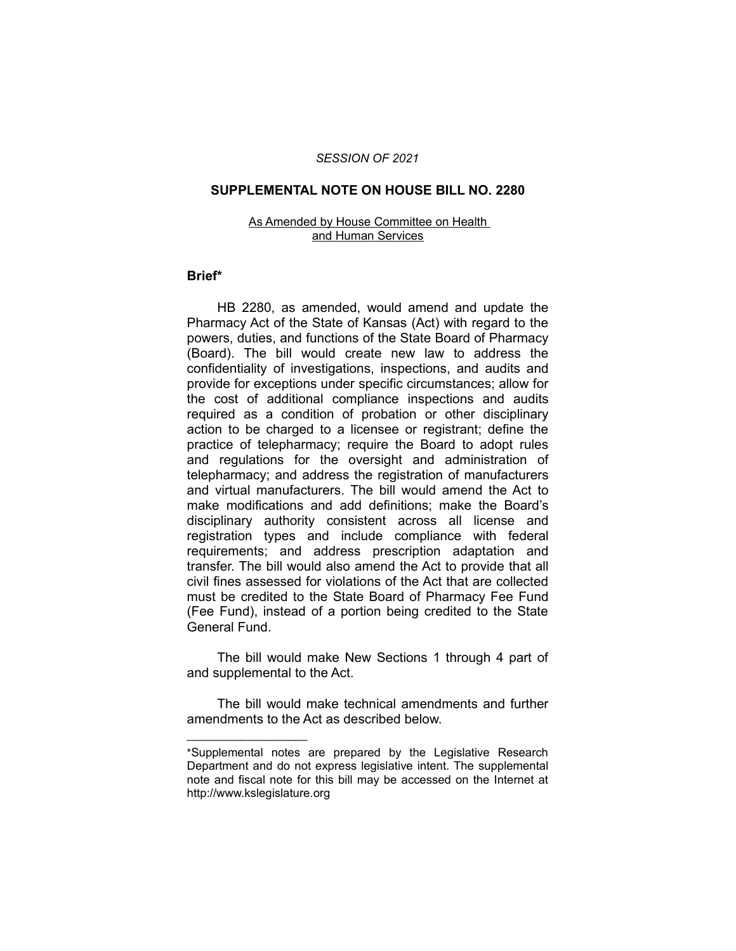#### *SESSION OF 2021*

#### **SUPPLEMENTAL NOTE ON HOUSE BILL NO. 2280**

#### As Amended by House Committee on Health and Human Services

#### **Brief\***

HB 2280, as amended, would amend and update the Pharmacy Act of the State of Kansas (Act) with regard to the powers, duties, and functions of the State Board of Pharmacy (Board). The bill would create new law to address the confidentiality of investigations, inspections, and audits and provide for exceptions under specific circumstances; allow for the cost of additional compliance inspections and audits required as a condition of probation or other disciplinary action to be charged to a licensee or registrant; define the practice of telepharmacy; require the Board to adopt rules and regulations for the oversight and administration of telepharmacy; and address the registration of manufacturers and virtual manufacturers. The bill would amend the Act to make modifications and add definitions; make the Board's disciplinary authority consistent across all license and registration types and include compliance with federal requirements; and address prescription adaptation and transfer. The bill would also amend the Act to provide that all civil fines assessed for violations of the Act that are collected must be credited to the State Board of Pharmacy Fee Fund (Fee Fund), instead of a portion being credited to the State General Fund.

The bill would make New Sections 1 through 4 part of and supplemental to the Act.

The bill would make technical amendments and further amendments to the Act as described below.

 $\overline{\phantom{a}}$  , where  $\overline{\phantom{a}}$  , where  $\overline{\phantom{a}}$ 

<sup>\*</sup>Supplemental notes are prepared by the Legislative Research Department and do not express legislative intent. The supplemental note and fiscal note for this bill may be accessed on the Internet at http://www.kslegislature.org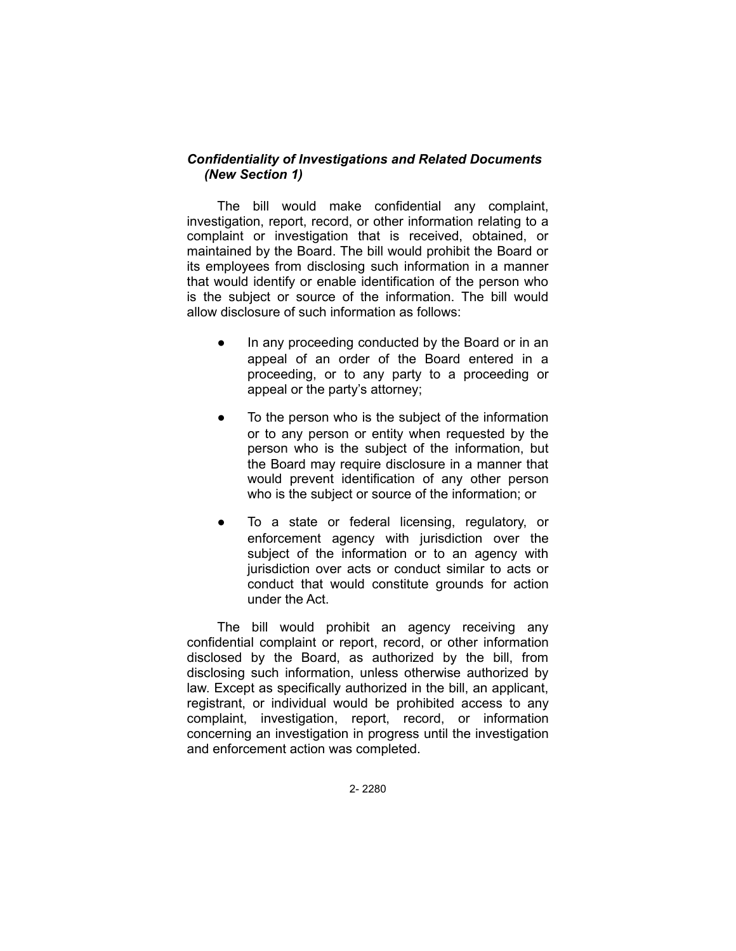# *Confidentiality of Investigations and Related Documents (New Section 1)*

The bill would make confidential any complaint, investigation, report, record, or other information relating to a complaint or investigation that is received, obtained, or maintained by the Board. The bill would prohibit the Board or its employees from disclosing such information in a manner that would identify or enable identification of the person who is the subject or source of the information. The bill would allow disclosure of such information as follows:

- In any proceeding conducted by the Board or in an appeal of an order of the Board entered in a proceeding, or to any party to a proceeding or appeal or the party's attorney;
- To the person who is the subject of the information or to any person or entity when requested by the person who is the subject of the information, but the Board may require disclosure in a manner that would prevent identification of any other person who is the subject or source of the information; or
- To a state or federal licensing, regulatory, or enforcement agency with jurisdiction over the subject of the information or to an agency with jurisdiction over acts or conduct similar to acts or conduct that would constitute grounds for action under the Act.

The bill would prohibit an agency receiving any confidential complaint or report, record, or other information disclosed by the Board, as authorized by the bill, from disclosing such information, unless otherwise authorized by law. Except as specifically authorized in the bill, an applicant, registrant, or individual would be prohibited access to any complaint, investigation, report, record, or information concerning an investigation in progress until the investigation and enforcement action was completed.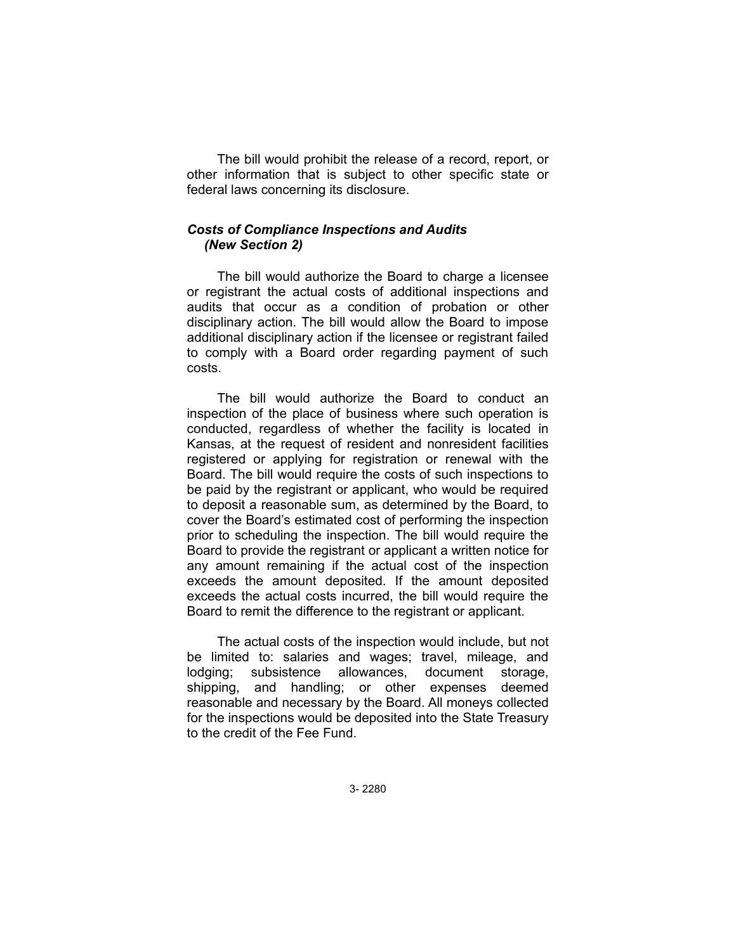The bill would prohibit the release of a record, report, or other information that is subject to other specific state or federal laws concerning its disclosure.

### *Costs of Compliance Inspections and Audits (New Section 2)*

The bill would authorize the Board to charge a licensee or registrant the actual costs of additional inspections and audits that occur as a condition of probation or other disciplinary action. The bill would allow the Board to impose additional disciplinary action if the licensee or registrant failed to comply with a Board order regarding payment of such costs.

The bill would authorize the Board to conduct an inspection of the place of business where such operation is conducted, regardless of whether the facility is located in Kansas, at the request of resident and nonresident facilities registered or applying for registration or renewal with the Board. The bill would require the costs of such inspections to be paid by the registrant or applicant, who would be required to deposit a reasonable sum, as determined by the Board, to cover the Board's estimated cost of performing the inspection prior to scheduling the inspection. The bill would require the Board to provide the registrant or applicant a written notice for any amount remaining if the actual cost of the inspection exceeds the amount deposited. If the amount deposited exceeds the actual costs incurred, the bill would require the Board to remit the difference to the registrant or applicant.

The actual costs of the inspection would include, but not be limited to: salaries and wages; travel, mileage, and lodging; subsistence allowances, document storage, shipping, and handling; or other expenses deemed reasonable and necessary by the Board. All moneys collected for the inspections would be deposited into the State Treasury to the credit of the Fee Fund.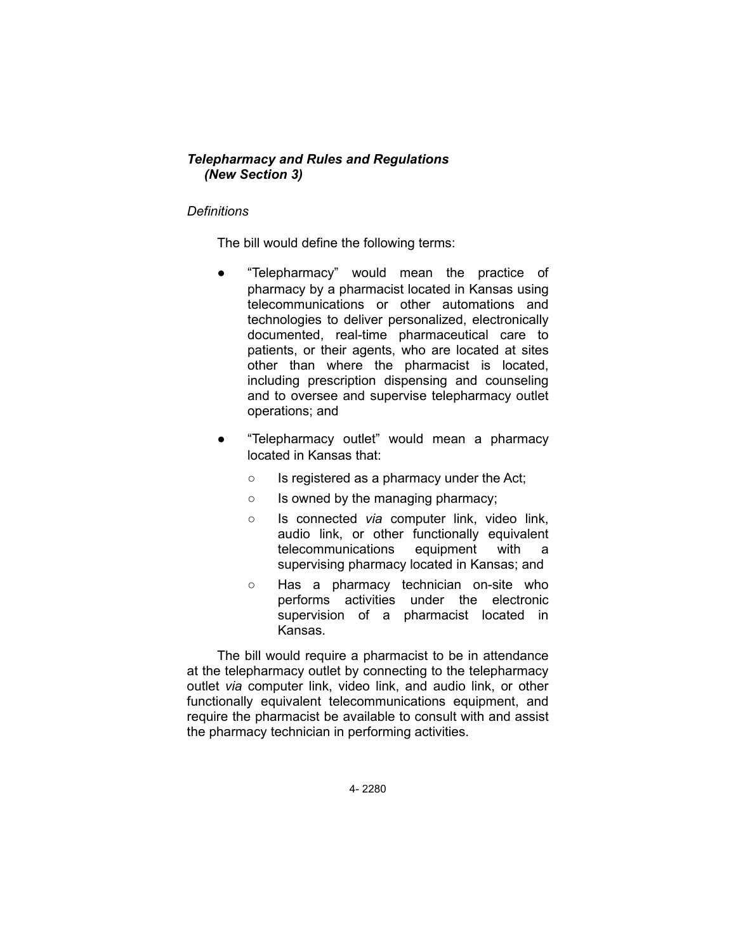# *Telepharmacy and Rules and Regulations (New Section 3)*

## *Definitions*

The bill would define the following terms:

- "Telepharmacy" would mean the practice of pharmacy by a pharmacist located in Kansas using telecommunications or other automations and technologies to deliver personalized, electronically documented, real-time pharmaceutical care to patients, or their agents, who are located at sites other than where the pharmacist is located, including prescription dispensing and counseling and to oversee and supervise telepharmacy outlet operations; and
- "Telepharmacy outlet" would mean a pharmacy located in Kansas that:
	- Is registered as a pharmacy under the Act;
	- Is owned by the managing pharmacy;
	- Is connected *via* computer link, video link, audio link, or other functionally equivalent telecommunications equipment with a supervising pharmacy located in Kansas; and
	- Has a pharmacy technician on-site who performs activities under the electronic supervision of a pharmacist located in Kansas.

The bill would require a pharmacist to be in attendance at the telepharmacy outlet by connecting to the telepharmacy outlet *via* computer link, video link, and audio link, or other functionally equivalent telecommunications equipment, and require the pharmacist be available to consult with and assist the pharmacy technician in performing activities.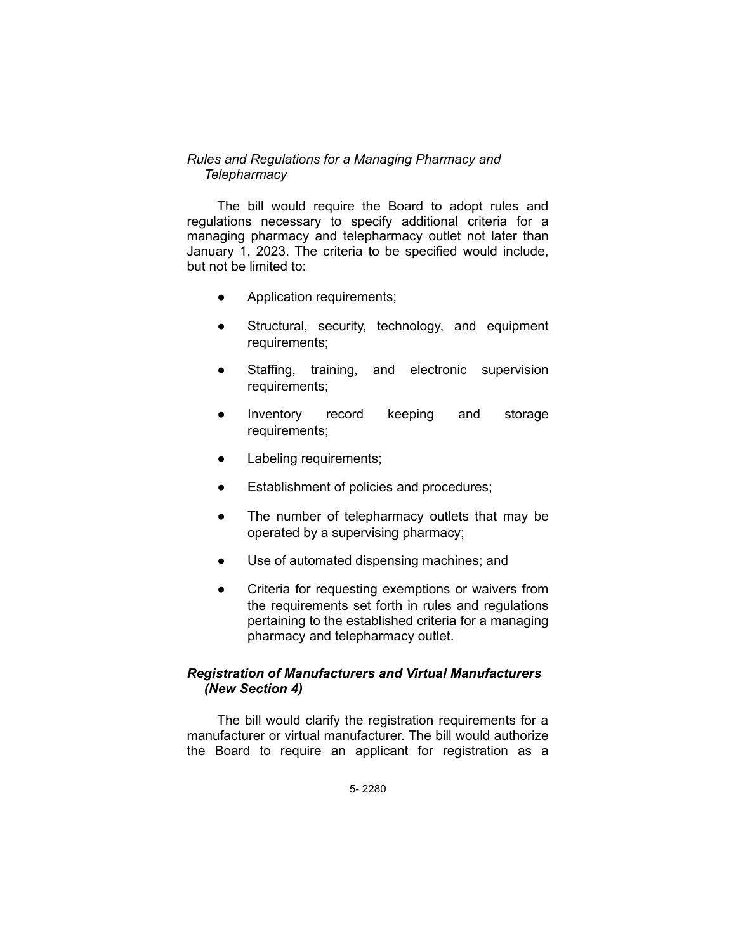## *Rules and Regulations for a Managing Pharmacy and Telepharmacy*

The bill would require the Board to adopt rules and regulations necessary to specify additional criteria for a managing pharmacy and telepharmacy outlet not later than January 1, 2023. The criteria to be specified would include, but not be limited to:

- Application requirements;
- Structural, security, technology, and equipment requirements;
- Staffing, training, and electronic supervision requirements;
- Inventory record keeping and storage requirements;
- Labeling requirements;
- Establishment of policies and procedures;
- The number of telepharmacy outlets that may be operated by a supervising pharmacy;
- Use of automated dispensing machines; and
- Criteria for requesting exemptions or waivers from the requirements set forth in rules and regulations pertaining to the established criteria for a managing pharmacy and telepharmacy outlet.

# *Registration of Manufacturers and Virtual Manufacturers (New Section 4)*

The bill would clarify the registration requirements for a manufacturer or virtual manufacturer. The bill would authorize the Board to require an applicant for registration as a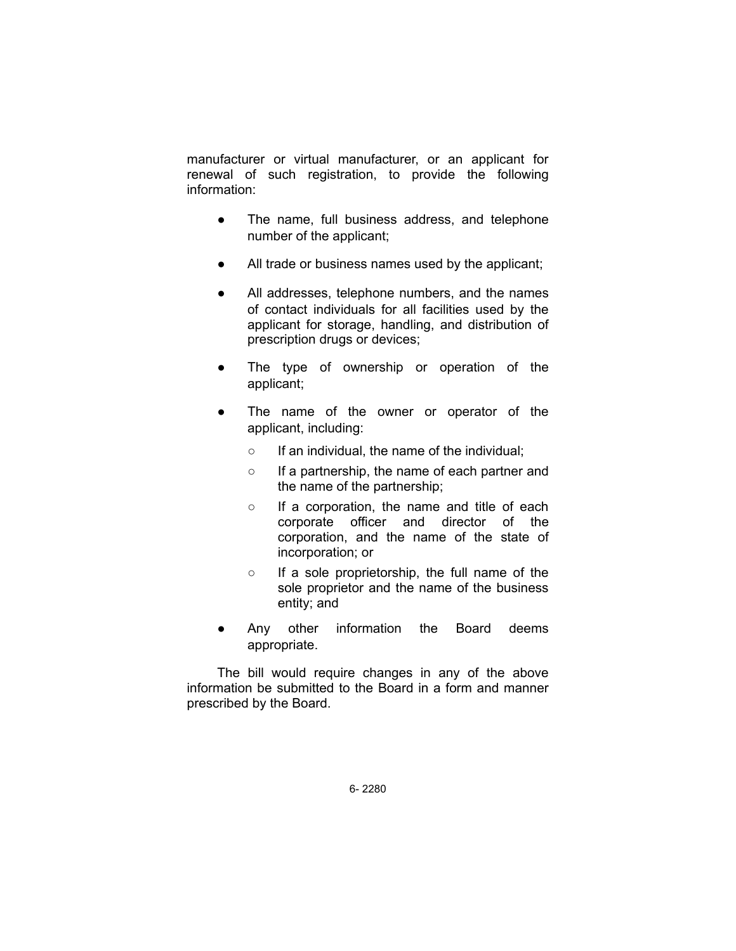manufacturer or virtual manufacturer, or an applicant for renewal of such registration, to provide the following information:

- The name, full business address, and telephone number of the applicant;
- All trade or business names used by the applicant;
- All addresses, telephone numbers, and the names of contact individuals for all facilities used by the applicant for storage, handling, and distribution of prescription drugs or devices;
- The type of ownership or operation of the applicant;
- The name of the owner or operator of the applicant, including:
	- If an individual, the name of the individual;
	- If a partnership, the name of each partner and the name of the partnership;
	- If a corporation, the name and title of each corporate officer and director of the corporation, and the name of the state of incorporation; or
	- If a sole proprietorship, the full name of the sole proprietor and the name of the business entity; and
- Any other information the Board deems appropriate.

The bill would require changes in any of the above information be submitted to the Board in a form and manner prescribed by the Board.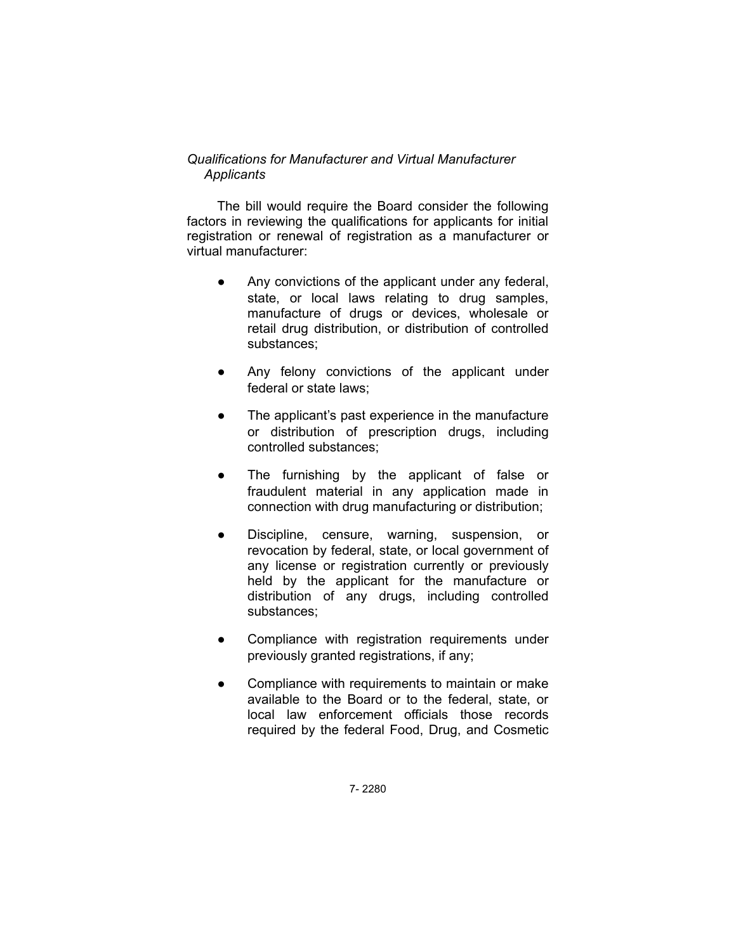# *Qualifications for Manufacturer and Virtual Manufacturer Applicants*

The bill would require the Board consider the following factors in reviewing the qualifications for applicants for initial registration or renewal of registration as a manufacturer or virtual manufacturer:

- Any convictions of the applicant under any federal, state, or local laws relating to drug samples, manufacture of drugs or devices, wholesale or retail drug distribution, or distribution of controlled substances;
- Any felony convictions of the applicant under federal or state laws;
- The applicant's past experience in the manufacture or distribution of prescription drugs, including controlled substances;
- The furnishing by the applicant of false or fraudulent material in any application made in connection with drug manufacturing or distribution;
- Discipline, censure, warning, suspension, or revocation by federal, state, or local government of any license or registration currently or previously held by the applicant for the manufacture or distribution of any drugs, including controlled substances;
- Compliance with registration requirements under previously granted registrations, if any;
- Compliance with requirements to maintain or make available to the Board or to the federal, state, or local law enforcement officials those records required by the federal Food, Drug, and Cosmetic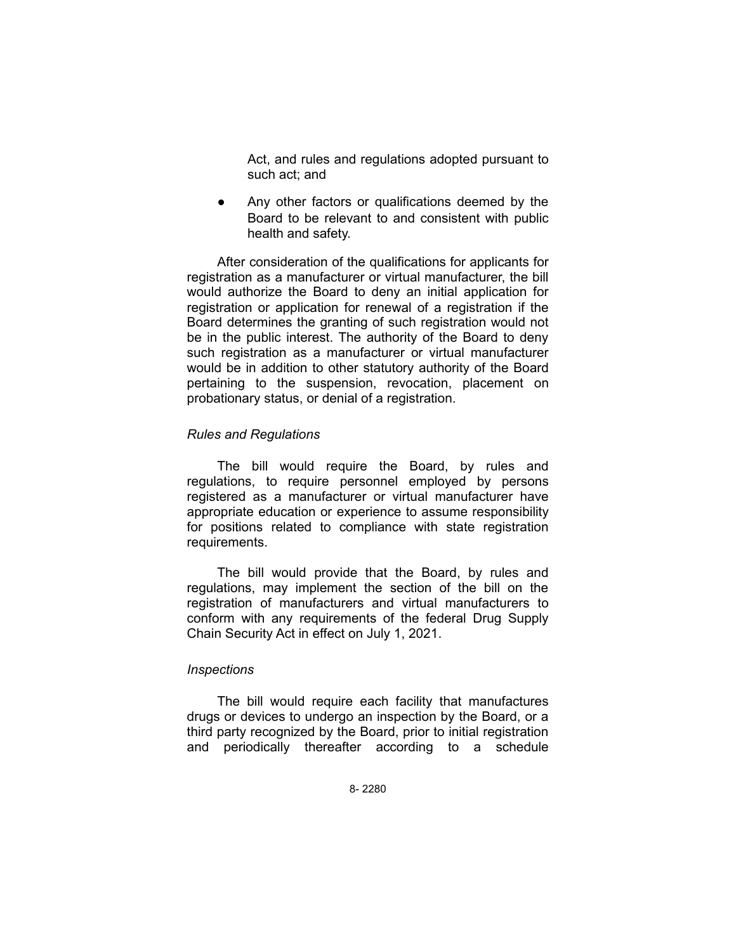Act, and rules and regulations adopted pursuant to such act; and

● Any other factors or qualifications deemed by the Board to be relevant to and consistent with public health and safety.

After consideration of the qualifications for applicants for registration as a manufacturer or virtual manufacturer, the bill would authorize the Board to deny an initial application for registration or application for renewal of a registration if the Board determines the granting of such registration would not be in the public interest. The authority of the Board to deny such registration as a manufacturer or virtual manufacturer would be in addition to other statutory authority of the Board pertaining to the suspension, revocation, placement on probationary status, or denial of a registration.

#### *Rules and Regulations*

The bill would require the Board, by rules and regulations, to require personnel employed by persons registered as a manufacturer or virtual manufacturer have appropriate education or experience to assume responsibility for positions related to compliance with state registration requirements.

The bill would provide that the Board, by rules and regulations, may implement the section of the bill on the registration of manufacturers and virtual manufacturers to conform with any requirements of the federal Drug Supply Chain Security Act in effect on July 1, 2021.

#### *Inspections*

The bill would require each facility that manufactures drugs or devices to undergo an inspection by the Board, or a third party recognized by the Board, prior to initial registration and periodically thereafter according to a schedule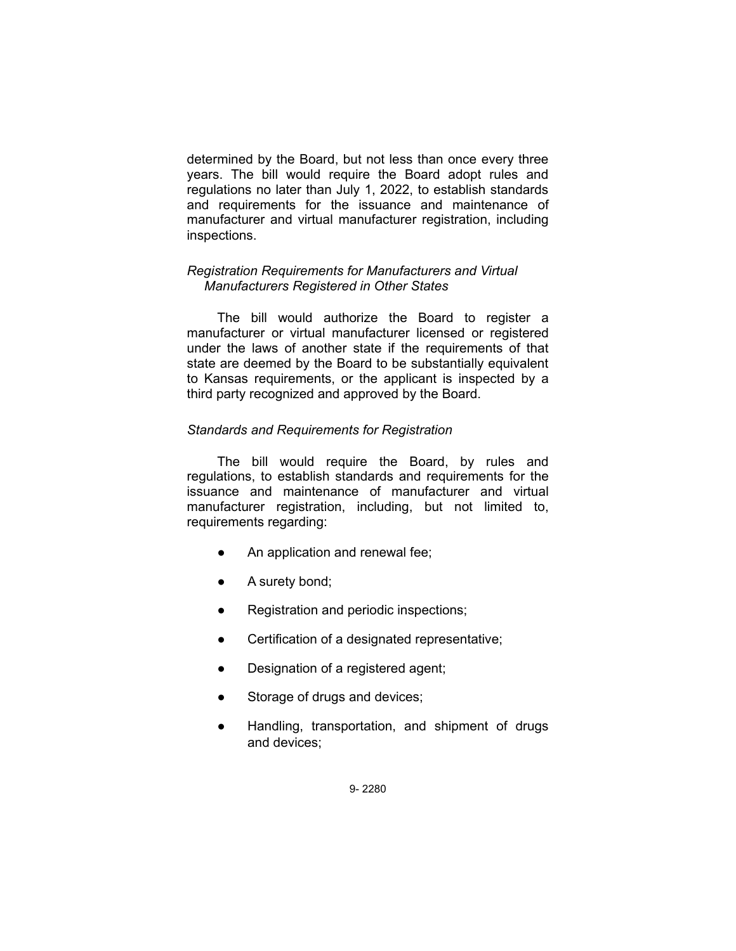determined by the Board, but not less than once every three years. The bill would require the Board adopt rules and regulations no later than July 1, 2022, to establish standards and requirements for the issuance and maintenance of manufacturer and virtual manufacturer registration, including inspections.

## *Registration Requirements for Manufacturers and Virtual Manufacturers Registered in Other States*

The bill would authorize the Board to register a manufacturer or virtual manufacturer licensed or registered under the laws of another state if the requirements of that state are deemed by the Board to be substantially equivalent to Kansas requirements, or the applicant is inspected by a third party recognized and approved by the Board.

# *Standards and Requirements for Registration*

The bill would require the Board, by rules and regulations, to establish standards and requirements for the issuance and maintenance of manufacturer and virtual manufacturer registration, including, but not limited to, requirements regarding:

- An application and renewal fee;
- A surety bond;
- Registration and periodic inspections;
- Certification of a designated representative;
- Designation of a registered agent;
- Storage of drugs and devices;
- Handling, transportation, and shipment of drugs and devices;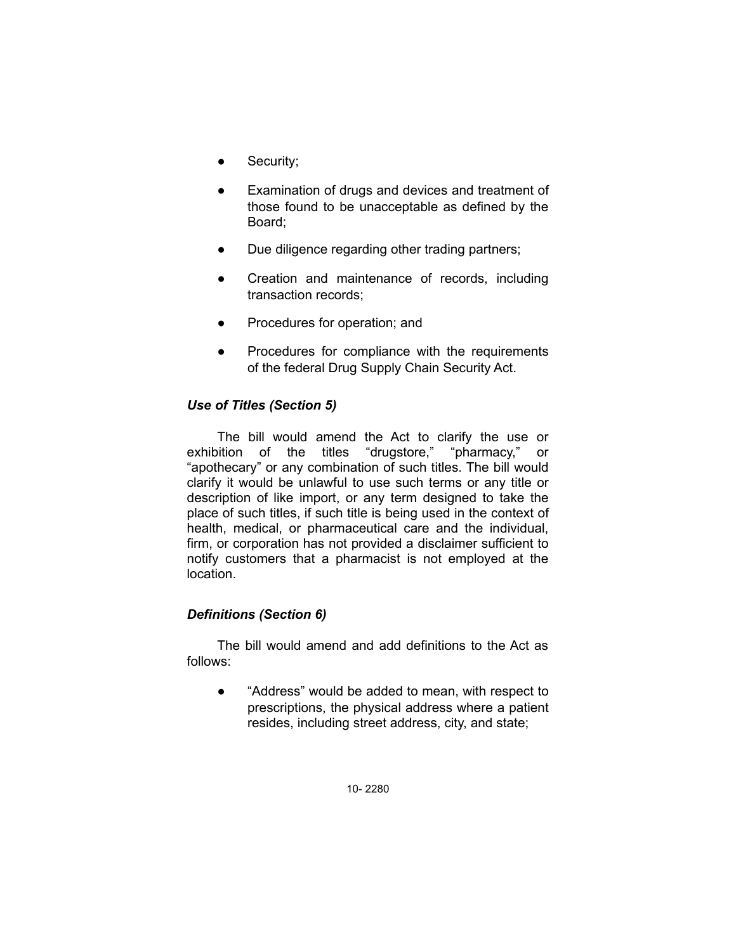- Security;
- Examination of drugs and devices and treatment of those found to be unacceptable as defined by the Board;
- Due diligence regarding other trading partners;
- Creation and maintenance of records, including transaction records;
- Procedures for operation; and
- Procedures for compliance with the requirements of the federal Drug Supply Chain Security Act.

# *Use of Titles (Section 5)*

The bill would amend the Act to clarify the use or exhibition of the titles "drugstore," "pharmacy," or "apothecary" or any combination of such titles. The bill would clarify it would be unlawful to use such terms or any title or description of like import, or any term designed to take the place of such titles, if such title is being used in the context of health, medical, or pharmaceutical care and the individual, firm, or corporation has not provided a disclaimer sufficient to notify customers that a pharmacist is not employed at the location.

# *Definitions (Section 6)*

The bill would amend and add definitions to the Act as follows:

● "Address" would be added to mean, with respect to prescriptions, the physical address where a patient resides, including street address, city, and state;

10- 2280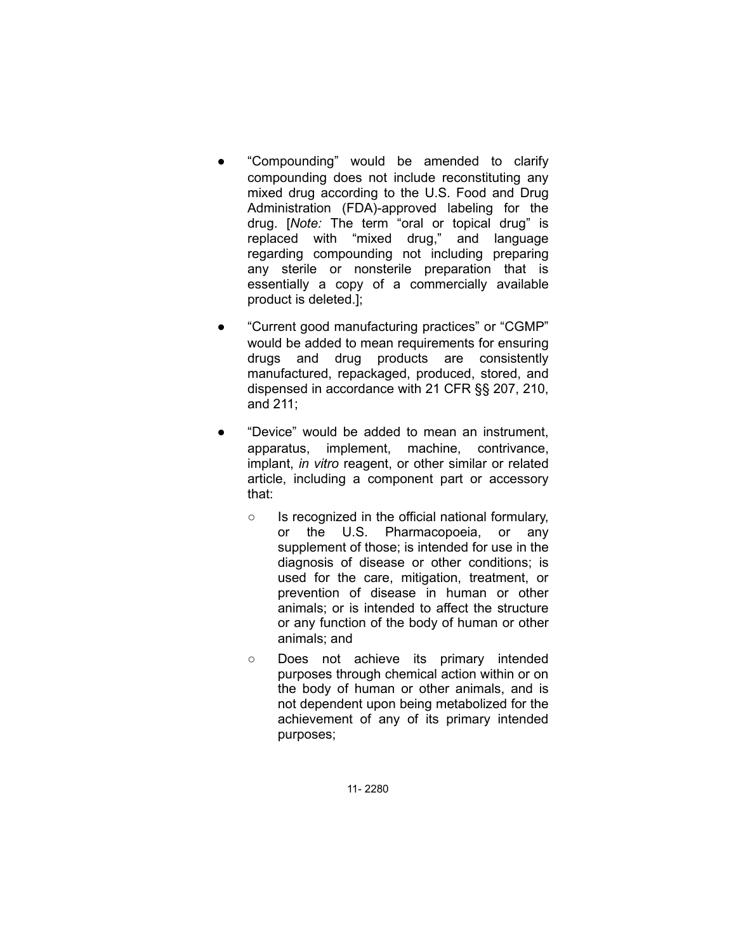- "Compounding" would be amended to clarify compounding does not include reconstituting any mixed drug according to the U.S. Food and Drug Administration (FDA)-approved labeling for the drug. [*Note:* The term "oral or topical drug" is replaced with "mixed drug," and language regarding compounding not including preparing any sterile or nonsterile preparation that is essentially a copy of a commercially available product is deleted.];
- "Current good manufacturing practices" or "CGMP" would be added to mean requirements for ensuring drugs and drug products are consistently manufactured, repackaged, produced, stored, and dispensed in accordance with 21 CFR §§ 207, 210, and 211;
- "Device" would be added to mean an instrument, apparatus, implement, machine, contrivance, implant, *in vitro* reagent, or other similar or related article, including a component part or accessory that:
	- Is recognized in the official national formulary, or the U.S. Pharmacopoeia, or any supplement of those; is intended for use in the diagnosis of disease or other conditions; is used for the care, mitigation, treatment, or prevention of disease in human or other animals; or is intended to affect the structure or any function of the body of human or other animals; and
	- Does not achieve its primary intended purposes through chemical action within or on the body of human or other animals, and is not dependent upon being metabolized for the achievement of any of its primary intended purposes;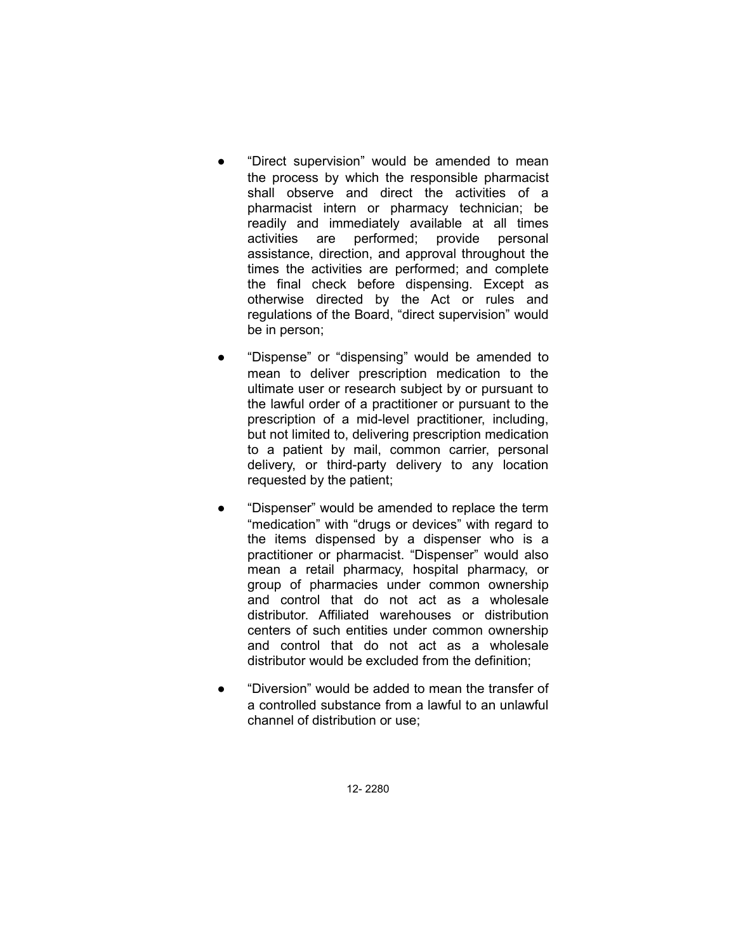- "Direct supervision" would be amended to mean the process by which the responsible pharmacist shall observe and direct the activities of a pharmacist intern or pharmacy technician; be readily and immediately available at all times activities are performed; provide personal assistance, direction, and approval throughout the times the activities are performed; and complete the final check before dispensing. Except as otherwise directed by the Act or rules and regulations of the Board, "direct supervision" would be in person;
- "Dispense" or "dispensing" would be amended to mean to deliver prescription medication to the ultimate user or research subject by or pursuant to the lawful order of a practitioner or pursuant to the prescription of a mid-level practitioner, including, but not limited to, delivering prescription medication to a patient by mail, common carrier, personal delivery, or third-party delivery to any location requested by the patient;
- "Dispenser" would be amended to replace the term "medication" with "drugs or devices" with regard to the items dispensed by a dispenser who is a practitioner or pharmacist. "Dispenser" would also mean a retail pharmacy, hospital pharmacy, or group of pharmacies under common ownership and control that do not act as a wholesale distributor. Affiliated warehouses or distribution centers of such entities under common ownership and control that do not act as a wholesale distributor would be excluded from the definition;
- "Diversion" would be added to mean the transfer of a controlled substance from a lawful to an unlawful channel of distribution or use;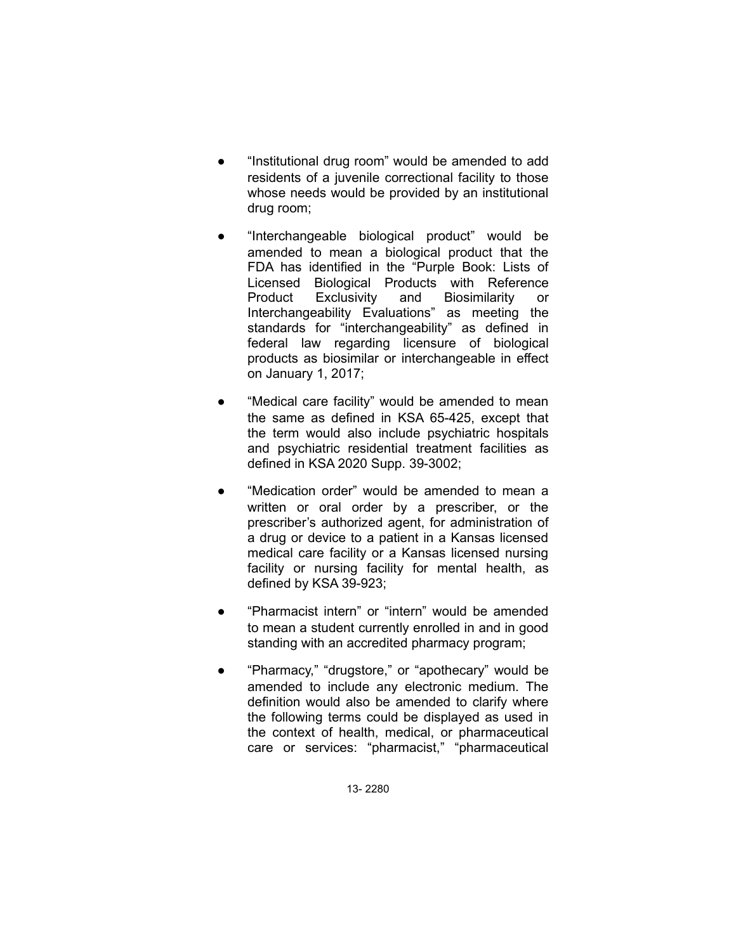- "Institutional drug room" would be amended to add residents of a juvenile correctional facility to those whose needs would be provided by an institutional drug room;
- "Interchangeable biological product" would be amended to mean a biological product that the FDA has identified in the "Purple Book: Lists of Licensed Biological Products with Reference Product Exclusivity and Biosimilarity or Interchangeability Evaluations" as meeting the standards for "interchangeability" as defined in federal law regarding licensure of biological products as biosimilar or interchangeable in effect on January 1, 2017;
- "Medical care facility" would be amended to mean the same as defined in KSA 65-425, except that the term would also include psychiatric hospitals and psychiatric residential treatment facilities as defined in KSA 2020 Supp. 39-3002;
- "Medication order" would be amended to mean a written or oral order by a prescriber, or the prescriber's authorized agent, for administration of a drug or device to a patient in a Kansas licensed medical care facility or a Kansas licensed nursing facility or nursing facility for mental health, as defined by KSA 39-923;
- "Pharmacist intern" or "intern" would be amended to mean a student currently enrolled in and in good standing with an accredited pharmacy program;
- "Pharmacy," "drugstore," or "apothecary" would be amended to include any electronic medium. The definition would also be amended to clarify where the following terms could be displayed as used in the context of health, medical, or pharmaceutical care or services: "pharmacist," "pharmaceutical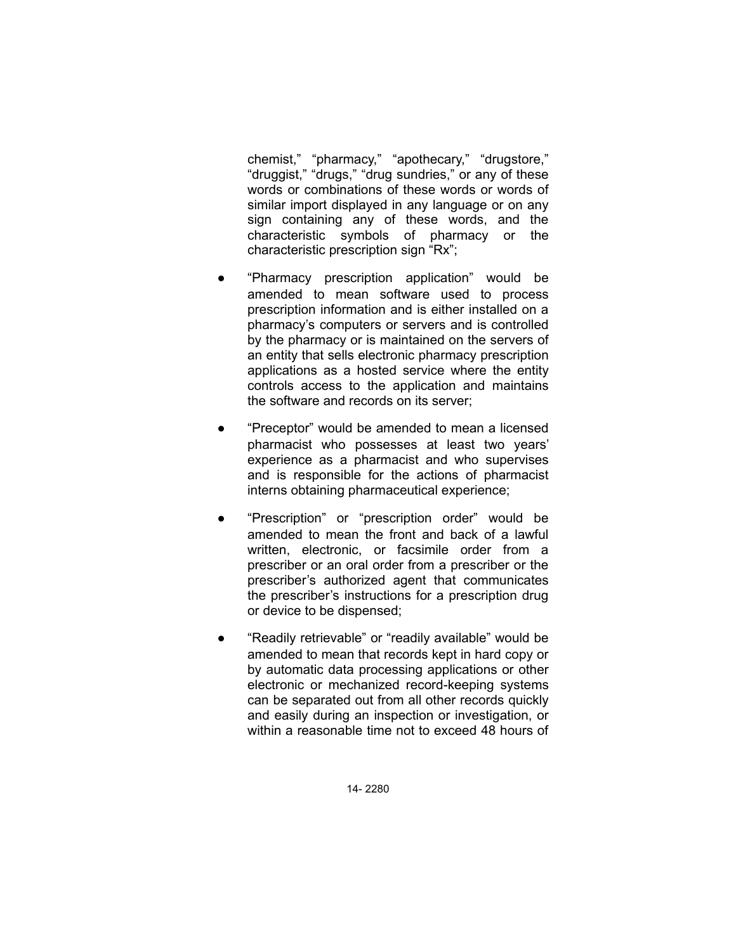chemist," "pharmacy," "apothecary," "drugstore," "druggist," "drugs," "drug sundries," or any of these words or combinations of these words or words of similar import displayed in any language or on any sign containing any of these words, and the characteristic symbols of pharmacy or the characteristic prescription sign "Rx";

- "Pharmacy prescription application" would be amended to mean software used to process prescription information and is either installed on a pharmacy's computers or servers and is controlled by the pharmacy or is maintained on the servers of an entity that sells electronic pharmacy prescription applications as a hosted service where the entity controls access to the application and maintains the software and records on its server;
- "Preceptor" would be amended to mean a licensed pharmacist who possesses at least two years' experience as a pharmacist and who supervises and is responsible for the actions of pharmacist interns obtaining pharmaceutical experience;
- "Prescription" or "prescription order" would be amended to mean the front and back of a lawful written, electronic, or facsimile order from a prescriber or an oral order from a prescriber or the prescriber's authorized agent that communicates the prescriber's instructions for a prescription drug or device to be dispensed;
- "Readily retrievable" or "readily available" would be amended to mean that records kept in hard copy or by automatic data processing applications or other electronic or mechanized record-keeping systems can be separated out from all other records quickly and easily during an inspection or investigation, or within a reasonable time not to exceed 48 hours of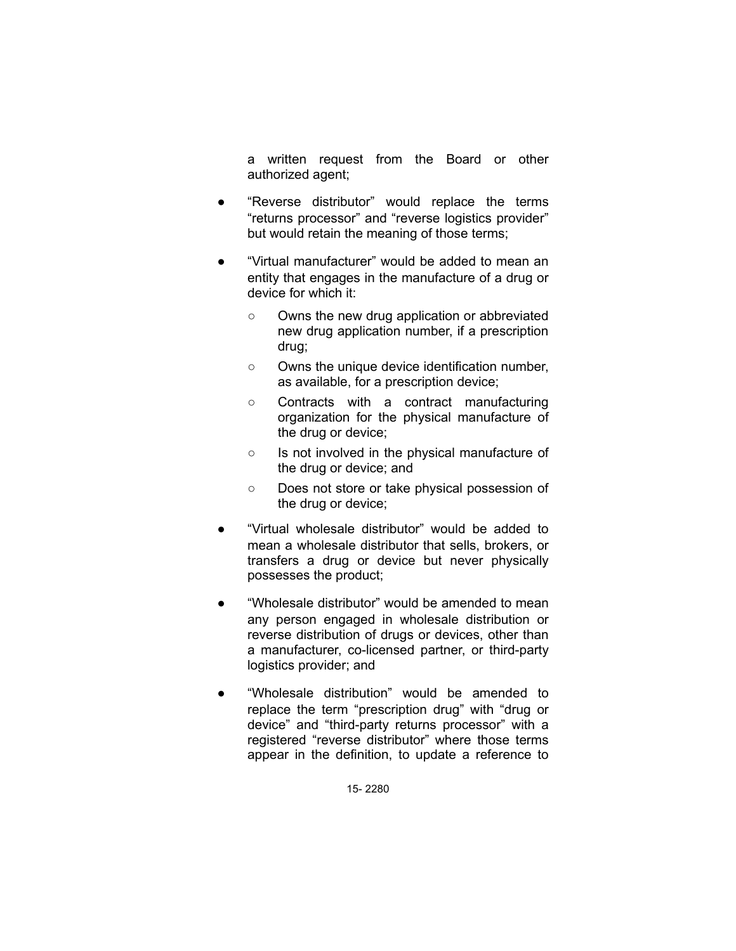a written request from the Board or other authorized agent;

- "Reverse distributor" would replace the terms "returns processor" and "reverse logistics provider" but would retain the meaning of those terms;
- "Virtual manufacturer" would be added to mean an entity that engages in the manufacture of a drug or device for which it:
	- Owns the new drug application or abbreviated new drug application number, if a prescription drug;
	- Owns the unique device identification number, as available, for a prescription device;
	- Contracts with a contract manufacturing organization for the physical manufacture of the drug or device;
	- Is not involved in the physical manufacture of the drug or device; and
	- Does not store or take physical possession of the drug or device;
- "Virtual wholesale distributor" would be added to mean a wholesale distributor that sells, brokers, or transfers a drug or device but never physically possesses the product;
- "Wholesale distributor" would be amended to mean any person engaged in wholesale distribution or reverse distribution of drugs or devices, other than a manufacturer, co-licensed partner, or third-party logistics provider; and
- "Wholesale distribution" would be amended to replace the term "prescription drug" with "drug or device" and "third-party returns processor" with a registered "reverse distributor" where those terms appear in the definition, to update a reference to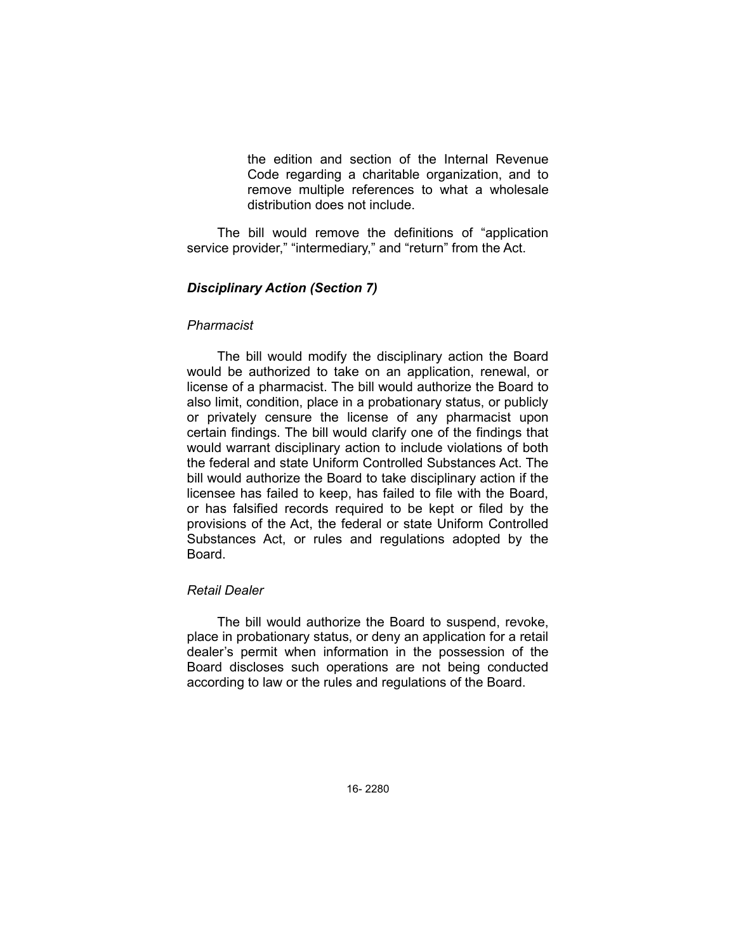the edition and section of the Internal Revenue Code regarding a charitable organization, and to remove multiple references to what a wholesale distribution does not include.

The bill would remove the definitions of "application service provider," "intermediary," and "return" from the Act.

### *Disciplinary Action (Section 7)*

#### *Pharmacist*

The bill would modify the disciplinary action the Board would be authorized to take on an application, renewal, or license of a pharmacist. The bill would authorize the Board to also limit, condition, place in a probationary status, or publicly or privately censure the license of any pharmacist upon certain findings. The bill would clarify one of the findings that would warrant disciplinary action to include violations of both the federal and state Uniform Controlled Substances Act. The bill would authorize the Board to take disciplinary action if the licensee has failed to keep, has failed to file with the Board, or has falsified records required to be kept or filed by the provisions of the Act, the federal or state Uniform Controlled Substances Act, or rules and regulations adopted by the Board.

# *Retail Dealer*

The bill would authorize the Board to suspend, revoke, place in probationary status, or deny an application for a retail dealer's permit when information in the possession of the Board discloses such operations are not being conducted according to law or the rules and regulations of the Board.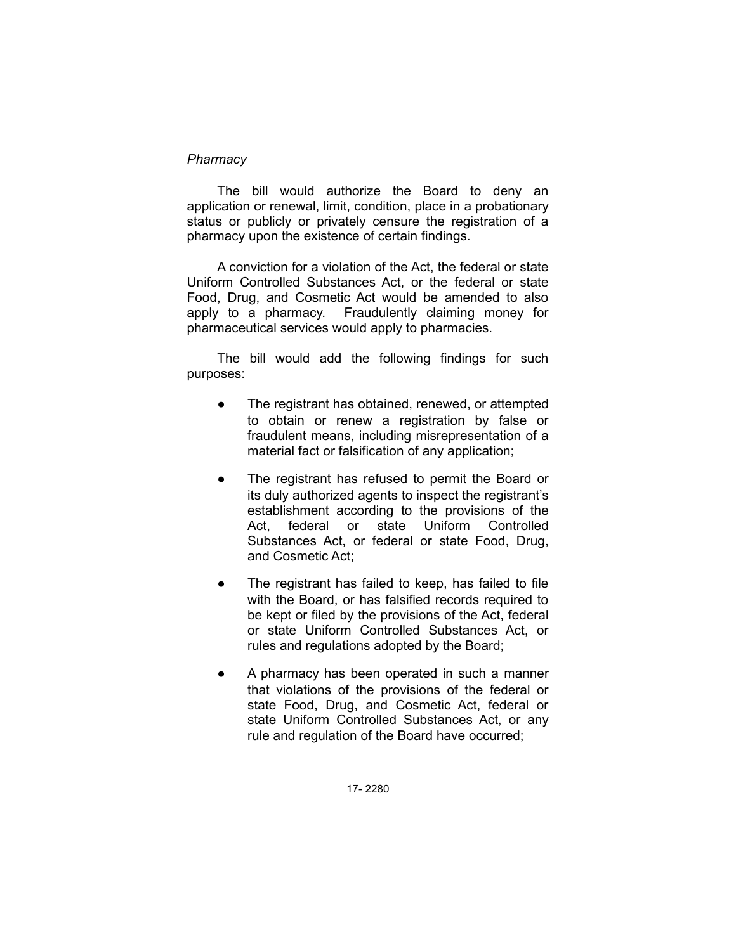#### *Pharmacy*

The bill would authorize the Board to deny an application or renewal, limit, condition, place in a probationary status or publicly or privately censure the registration of a pharmacy upon the existence of certain findings.

A conviction for a violation of the Act, the federal or state Uniform Controlled Substances Act, or the federal or state Food, Drug, and Cosmetic Act would be amended to also apply to a pharmacy. Fraudulently claiming money for pharmaceutical services would apply to pharmacies.

The bill would add the following findings for such purposes:

- The registrant has obtained, renewed, or attempted to obtain or renew a registration by false or fraudulent means, including misrepresentation of a material fact or falsification of any application;
- The registrant has refused to permit the Board or its duly authorized agents to inspect the registrant's establishment according to the provisions of the Act, federal or state Uniform Controlled Substances Act, or federal or state Food, Drug, and Cosmetic Act;
- The registrant has failed to keep, has failed to file with the Board, or has falsified records required to be kept or filed by the provisions of the Act, federal or state Uniform Controlled Substances Act, or rules and regulations adopted by the Board;
- A pharmacy has been operated in such a manner that violations of the provisions of the federal or state Food, Drug, and Cosmetic Act, federal or state Uniform Controlled Substances Act, or any rule and regulation of the Board have occurred;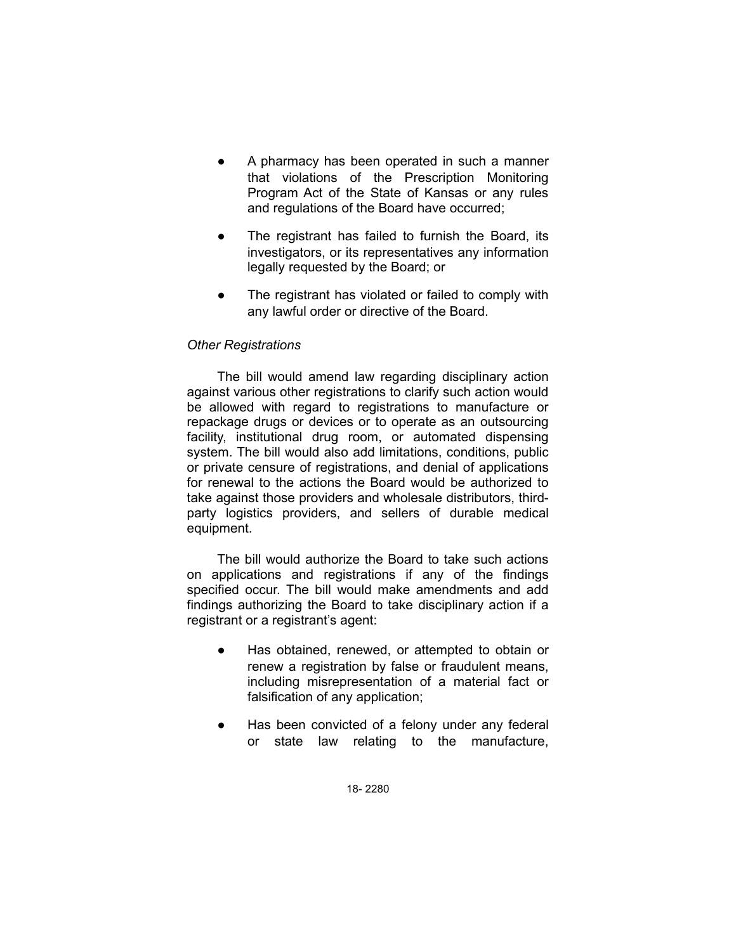- A pharmacy has been operated in such a manner that violations of the Prescription Monitoring Program Act of the State of Kansas or any rules and regulations of the Board have occurred;
- The registrant has failed to furnish the Board, its investigators, or its representatives any information legally requested by the Board; or
- The registrant has violated or failed to comply with any lawful order or directive of the Board.

## *Other Registrations*

The bill would amend law regarding disciplinary action against various other registrations to clarify such action would be allowed with regard to registrations to manufacture or repackage drugs or devices or to operate as an outsourcing facility, institutional drug room, or automated dispensing system. The bill would also add limitations, conditions, public or private censure of registrations, and denial of applications for renewal to the actions the Board would be authorized to take against those providers and wholesale distributors, thirdparty logistics providers, and sellers of durable medical equipment.

The bill would authorize the Board to take such actions on applications and registrations if any of the findings specified occur. The bill would make amendments and add findings authorizing the Board to take disciplinary action if a registrant or a registrant's agent:

- Has obtained, renewed, or attempted to obtain or renew a registration by false or fraudulent means, including misrepresentation of a material fact or falsification of any application;
- Has been convicted of a felony under any federal or state law relating to the manufacture,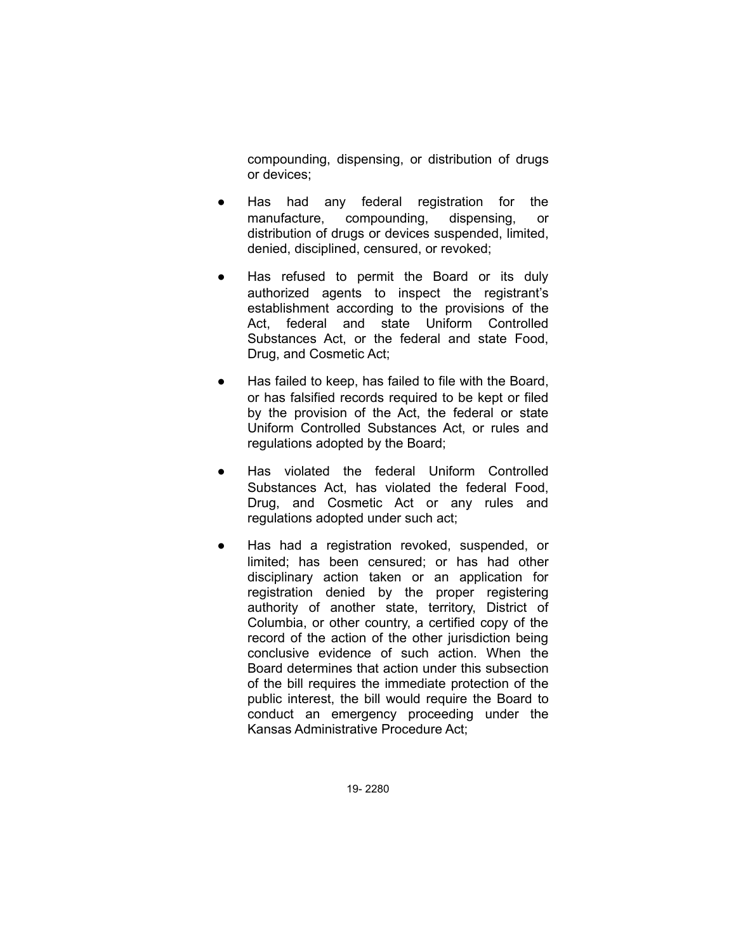compounding, dispensing, or distribution of drugs or devices;

- Has had any federal registration for the manufacture, compounding, dispensing, or distribution of drugs or devices suspended, limited, denied, disciplined, censured, or revoked;
- Has refused to permit the Board or its duly authorized agents to inspect the registrant's establishment according to the provisions of the Act, federal and state Uniform Controlled Substances Act, or the federal and state Food, Drug, and Cosmetic Act;
- Has failed to keep, has failed to file with the Board, or has falsified records required to be kept or filed by the provision of the Act, the federal or state Uniform Controlled Substances Act, or rules and regulations adopted by the Board;
- Has violated the federal Uniform Controlled Substances Act, has violated the federal Food, Drug, and Cosmetic Act or any rules and regulations adopted under such act;
- Has had a registration revoked, suspended, or limited; has been censured; or has had other disciplinary action taken or an application for registration denied by the proper registering authority of another state, territory, District of Columbia, or other country, a certified copy of the record of the action of the other jurisdiction being conclusive evidence of such action. When the Board determines that action under this subsection of the bill requires the immediate protection of the public interest, the bill would require the Board to conduct an emergency proceeding under the Kansas Administrative Procedure Act;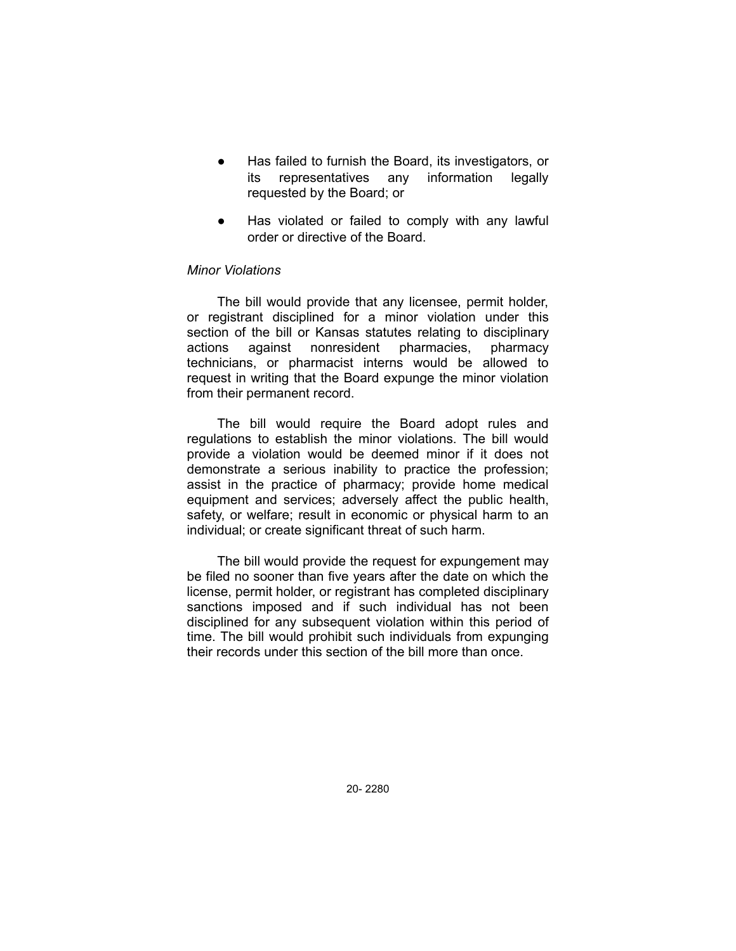- Has failed to furnish the Board, its investigators, or its representatives any information legally requested by the Board; or
- Has violated or failed to comply with any lawful order or directive of the Board.

#### *Minor Violations*

The bill would provide that any licensee, permit holder, or registrant disciplined for a minor violation under this section of the bill or Kansas statutes relating to disciplinary actions against nonresident pharmacies, pharmacy technicians, or pharmacist interns would be allowed to request in writing that the Board expunge the minor violation from their permanent record.

The bill would require the Board adopt rules and regulations to establish the minor violations. The bill would provide a violation would be deemed minor if it does not demonstrate a serious inability to practice the profession; assist in the practice of pharmacy; provide home medical equipment and services; adversely affect the public health, safety, or welfare; result in economic or physical harm to an individual; or create significant threat of such harm.

The bill would provide the request for expungement may be filed no sooner than five years after the date on which the license, permit holder, or registrant has completed disciplinary sanctions imposed and if such individual has not been disciplined for any subsequent violation within this period of time. The bill would prohibit such individuals from expunging their records under this section of the bill more than once.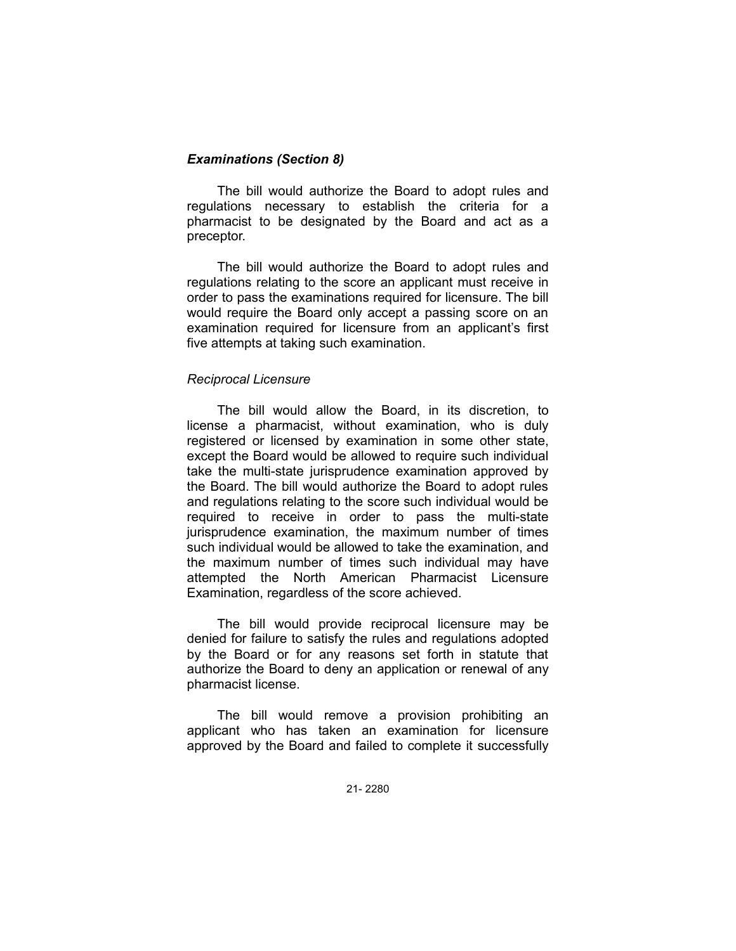### *Examinations (Section 8)*

The bill would authorize the Board to adopt rules and regulations necessary to establish the criteria for a pharmacist to be designated by the Board and act as a preceptor.

The bill would authorize the Board to adopt rules and regulations relating to the score an applicant must receive in order to pass the examinations required for licensure. The bill would require the Board only accept a passing score on an examination required for licensure from an applicant's first five attempts at taking such examination.

### *Reciprocal Licensure*

The bill would allow the Board, in its discretion, to license a pharmacist, without examination, who is duly registered or licensed by examination in some other state, except the Board would be allowed to require such individual take the multi-state jurisprudence examination approved by the Board. The bill would authorize the Board to adopt rules and regulations relating to the score such individual would be required to receive in order to pass the multi-state jurisprudence examination, the maximum number of times such individual would be allowed to take the examination, and the maximum number of times such individual may have attempted the North American Pharmacist Licensure Examination, regardless of the score achieved.

The bill would provide reciprocal licensure may be denied for failure to satisfy the rules and regulations adopted by the Board or for any reasons set forth in statute that authorize the Board to deny an application or renewal of any pharmacist license.

The bill would remove a provision prohibiting an applicant who has taken an examination for licensure approved by the Board and failed to complete it successfully

21- 2280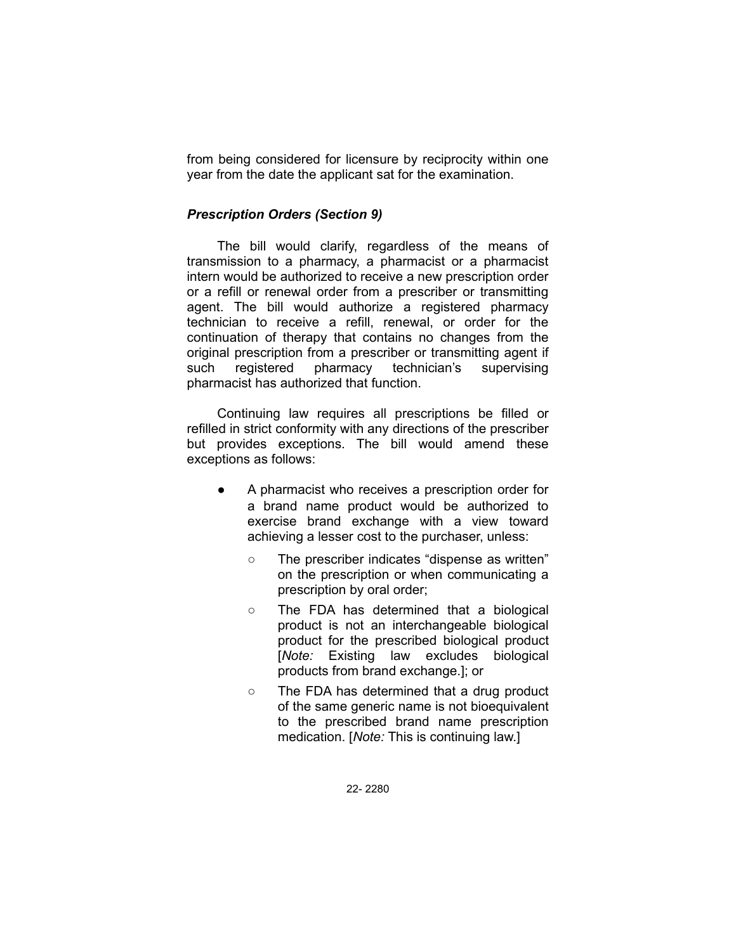from being considered for licensure by reciprocity within one year from the date the applicant sat for the examination.

#### *Prescription Orders (Section 9)*

The bill would clarify, regardless of the means of transmission to a pharmacy, a pharmacist or a pharmacist intern would be authorized to receive a new prescription order or a refill or renewal order from a prescriber or transmitting agent. The bill would authorize a registered pharmacy technician to receive a refill, renewal, or order for the continuation of therapy that contains no changes from the original prescription from a prescriber or transmitting agent if such registered pharmacy technician's supervising pharmacist has authorized that function.

Continuing law requires all prescriptions be filled or refilled in strict conformity with any directions of the prescriber but provides exceptions. The bill would amend these exceptions as follows:

- A pharmacist who receives a prescription order for a brand name product would be authorized to exercise brand exchange with a view toward achieving a lesser cost to the purchaser, unless:
	- The prescriber indicates "dispense as written" on the prescription or when communicating a prescription by oral order;
	- The FDA has determined that a biological product is not an interchangeable biological product for the prescribed biological product [*Note:* Existing law excludes biological products from brand exchange.]; or
	- The FDA has determined that a drug product of the same generic name is not bioequivalent to the prescribed brand name prescription medication. [*Note:* This is continuing law.]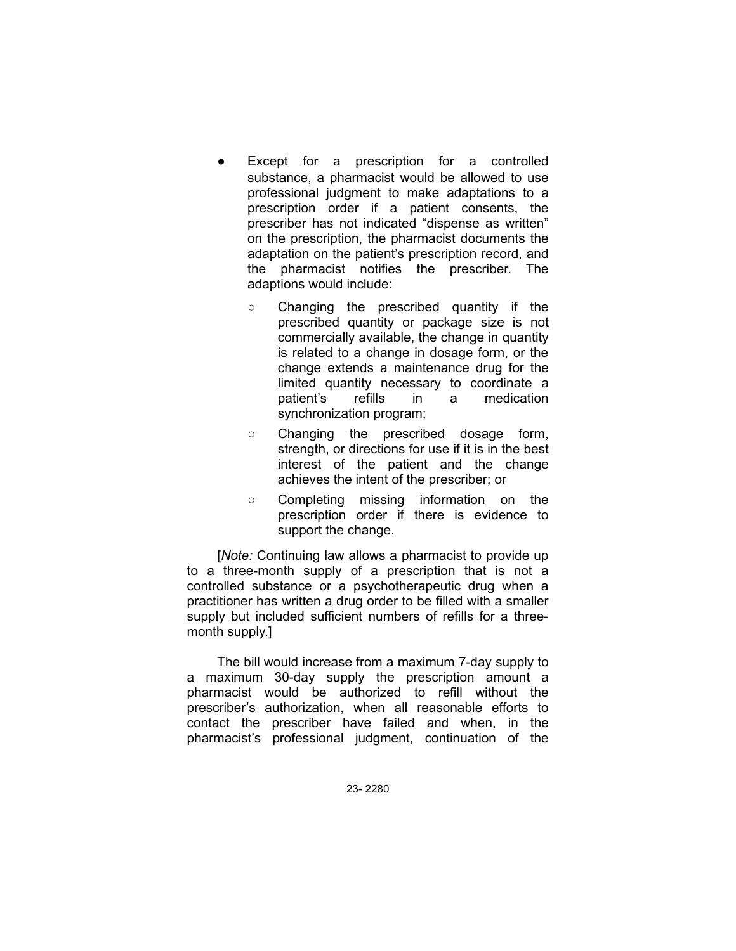- Except for a prescription for a controlled substance, a pharmacist would be allowed to use professional judgment to make adaptations to a prescription order if a patient consents, the prescriber has not indicated "dispense as written" on the prescription, the pharmacist documents the adaptation on the patient's prescription record, and the pharmacist notifies the prescriber. The adaptions would include:
	- Changing the prescribed quantity if the prescribed quantity or package size is not commercially available, the change in quantity is related to a change in dosage form, or the change extends a maintenance drug for the limited quantity necessary to coordinate a patient's refills in a medication synchronization program;
	- Changing the prescribed dosage form, strength, or directions for use if it is in the best interest of the patient and the change achieves the intent of the prescriber; or
	- Completing missing information on the prescription order if there is evidence to support the change.

[*Note:* Continuing law allows a pharmacist to provide up to a three-month supply of a prescription that is not a controlled substance or a psychotherapeutic drug when a practitioner has written a drug order to be filled with a smaller supply but included sufficient numbers of refills for a threemonth supply.]

The bill would increase from a maximum 7-day supply to a maximum 30-day supply the prescription amount a pharmacist would be authorized to refill without the prescriber's authorization, when all reasonable efforts to contact the prescriber have failed and when, in the pharmacist's professional judgment, continuation of the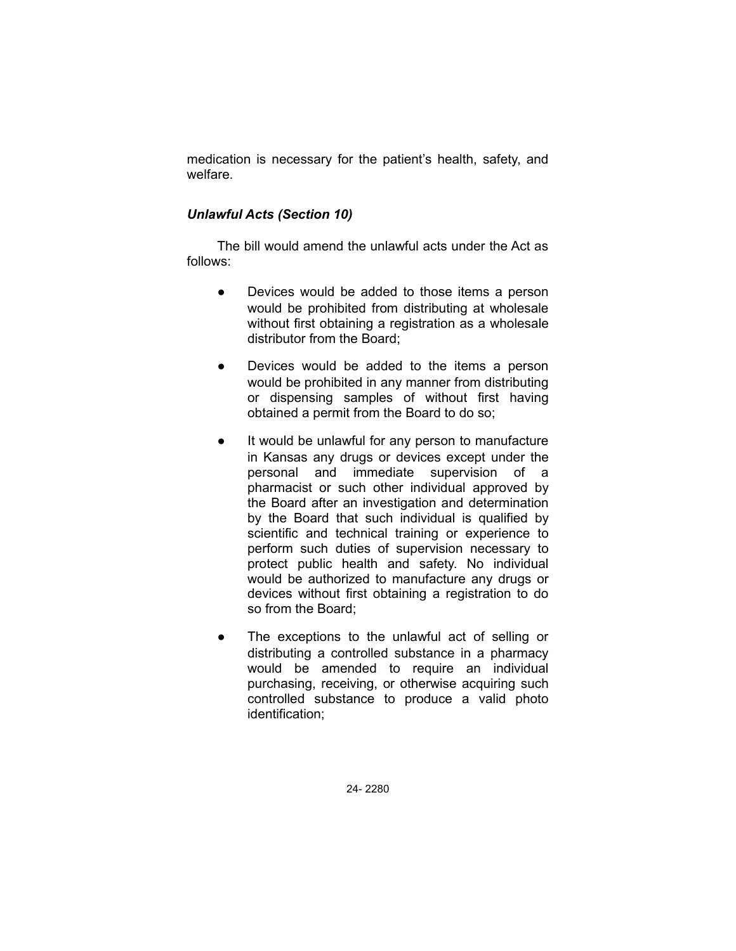medication is necessary for the patient's health, safety, and welfare.

# *Unlawful Acts (Section 10)*

The bill would amend the unlawful acts under the Act as follows:

- Devices would be added to those items a person would be prohibited from distributing at wholesale without first obtaining a registration as a wholesale distributor from the Board;
- Devices would be added to the items a person would be prohibited in any manner from distributing or dispensing samples of without first having obtained a permit from the Board to do so;
- It would be unlawful for any person to manufacture in Kansas any drugs or devices except under the personal and immediate supervision of a pharmacist or such other individual approved by the Board after an investigation and determination by the Board that such individual is qualified by scientific and technical training or experience to perform such duties of supervision necessary to protect public health and safety. No individual would be authorized to manufacture any drugs or devices without first obtaining a registration to do so from the Board;
- The exceptions to the unlawful act of selling or distributing a controlled substance in a pharmacy would be amended to require an individual purchasing, receiving, or otherwise acquiring such controlled substance to produce a valid photo identification;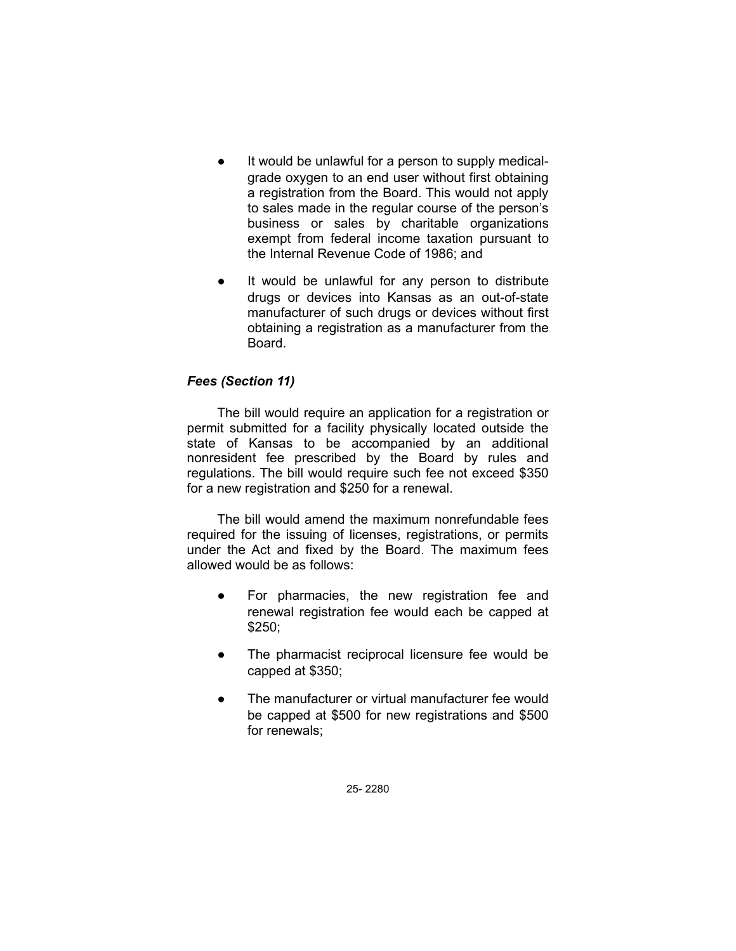- It would be unlawful for a person to supply medicalgrade oxygen to an end user without first obtaining a registration from the Board. This would not apply to sales made in the regular course of the person's business or sales by charitable organizations exempt from federal income taxation pursuant to the Internal Revenue Code of 1986; and
- It would be unlawful for any person to distribute drugs or devices into Kansas as an out-of-state manufacturer of such drugs or devices without first obtaining a registration as a manufacturer from the Board.

# *Fees (Section 11)*

The bill would require an application for a registration or permit submitted for a facility physically located outside the state of Kansas to be accompanied by an additional nonresident fee prescribed by the Board by rules and regulations. The bill would require such fee not exceed \$350 for a new registration and \$250 for a renewal.

The bill would amend the maximum nonrefundable fees required for the issuing of licenses, registrations, or permits under the Act and fixed by the Board. The maximum fees allowed would be as follows:

- For pharmacies, the new registration fee and renewal registration fee would each be capped at \$250;
- The pharmacist reciprocal licensure fee would be capped at \$350;
- The manufacturer or virtual manufacturer fee would be capped at \$500 for new registrations and \$500 for renewals;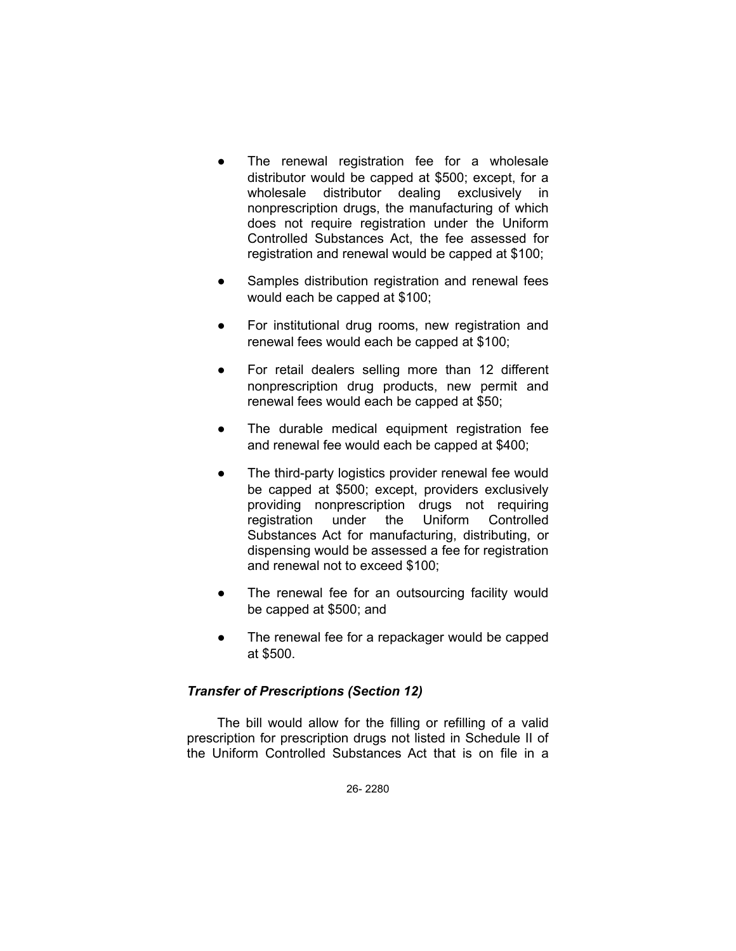- The renewal registration fee for a wholesale distributor would be capped at \$500; except, for a wholesale distributor dealing exclusively in nonprescription drugs, the manufacturing of which does not require registration under the Uniform Controlled Substances Act, the fee assessed for registration and renewal would be capped at \$100;
- Samples distribution registration and renewal fees would each be capped at \$100;
- For institutional drug rooms, new registration and renewal fees would each be capped at \$100;
- For retail dealers selling more than 12 different nonprescription drug products, new permit and renewal fees would each be capped at \$50;
- The durable medical equipment registration fee and renewal fee would each be capped at \$400;
- The third-party logistics provider renewal fee would be capped at \$500; except, providers exclusively providing nonprescription drugs not requiring registration under the Uniform Controlled Substances Act for manufacturing, distributing, or dispensing would be assessed a fee for registration and renewal not to exceed \$100;
- The renewal fee for an outsourcing facility would be capped at \$500; and
- The renewal fee for a repackager would be capped at \$500.

# *Transfer of Prescriptions (Section 12)*

The bill would allow for the filling or refilling of a valid prescription for prescription drugs not listed in Schedule II of the Uniform Controlled Substances Act that is on file in a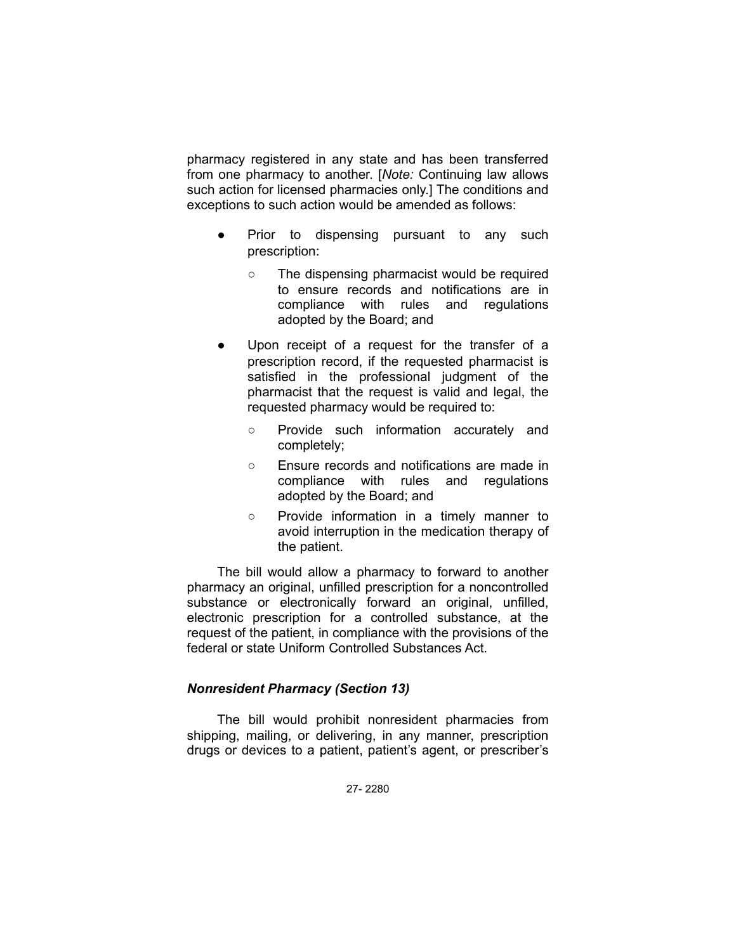pharmacy registered in any state and has been transferred from one pharmacy to another. [*Note:* Continuing law allows such action for licensed pharmacies only.] The conditions and exceptions to such action would be amended as follows:

- Prior to dispensing pursuant to any such prescription:
	- The dispensing pharmacist would be required to ensure records and notifications are in compliance with rules and regulations adopted by the Board; and
- Upon receipt of a request for the transfer of a prescription record, if the requested pharmacist is satisfied in the professional judgment of the pharmacist that the request is valid and legal, the requested pharmacy would be required to:
	- Provide such information accurately and completely;
	- Ensure records and notifications are made in compliance with rules and regulations adopted by the Board; and
	- Provide information in a timely manner to avoid interruption in the medication therapy of the patient.

The bill would allow a pharmacy to forward to another pharmacy an original, unfilled prescription for a noncontrolled substance or electronically forward an original, unfilled, electronic prescription for a controlled substance, at the request of the patient, in compliance with the provisions of the federal or state Uniform Controlled Substances Act.

# *Nonresident Pharmacy (Section 13)*

The bill would prohibit nonresident pharmacies from shipping, mailing, or delivering, in any manner, prescription drugs or devices to a patient, patient's agent, or prescriber's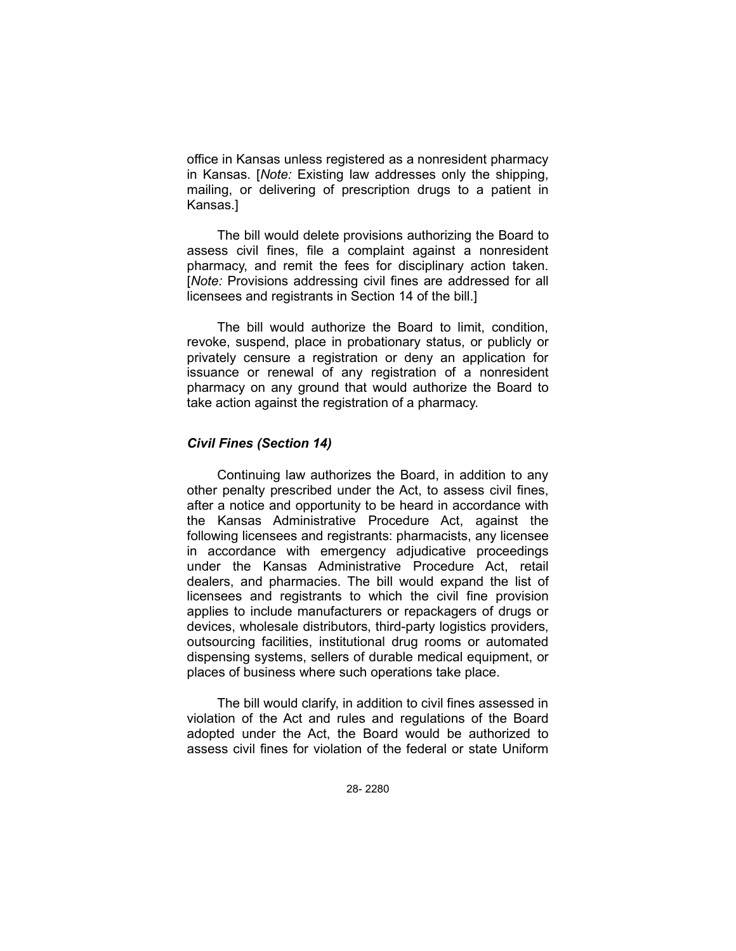office in Kansas unless registered as a nonresident pharmacy in Kansas. [*Note:* Existing law addresses only the shipping, mailing, or delivering of prescription drugs to a patient in Kansas.]

The bill would delete provisions authorizing the Board to assess civil fines, file a complaint against a nonresident pharmacy, and remit the fees for disciplinary action taken. [*Note:* Provisions addressing civil fines are addressed for all licensees and registrants in Section 14 of the bill.]

The bill would authorize the Board to limit, condition, revoke, suspend, place in probationary status, or publicly or privately censure a registration or deny an application for issuance or renewal of any registration of a nonresident pharmacy on any ground that would authorize the Board to take action against the registration of a pharmacy.

#### *Civil Fines (Section 14)*

Continuing law authorizes the Board, in addition to any other penalty prescribed under the Act, to assess civil fines, after a notice and opportunity to be heard in accordance with the Kansas Administrative Procedure Act, against the following licensees and registrants: pharmacists, any licensee in accordance with emergency adjudicative proceedings under the Kansas Administrative Procedure Act, retail dealers, and pharmacies. The bill would expand the list of licensees and registrants to which the civil fine provision applies to include manufacturers or repackagers of drugs or devices, wholesale distributors, third-party logistics providers, outsourcing facilities, institutional drug rooms or automated dispensing systems, sellers of durable medical equipment, or places of business where such operations take place.

The bill would clarify, in addition to civil fines assessed in violation of the Act and rules and regulations of the Board adopted under the Act, the Board would be authorized to assess civil fines for violation of the federal or state Uniform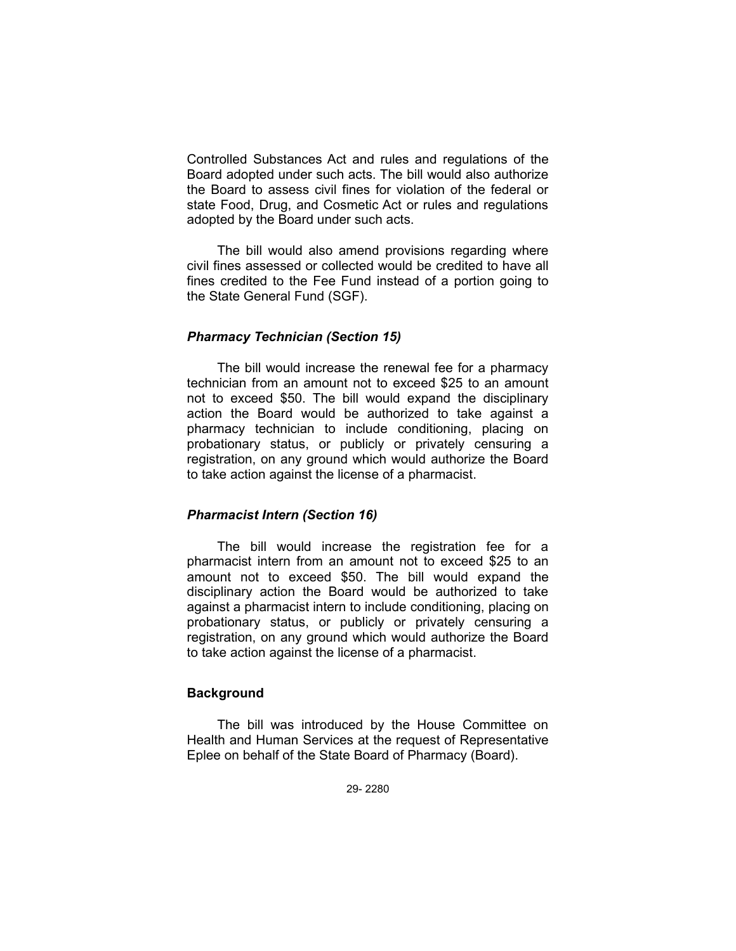Controlled Substances Act and rules and regulations of the Board adopted under such acts. The bill would also authorize the Board to assess civil fines for violation of the federal or state Food, Drug, and Cosmetic Act or rules and regulations adopted by the Board under such acts.

The bill would also amend provisions regarding where civil fines assessed or collected would be credited to have all fines credited to the Fee Fund instead of a portion going to the State General Fund (SGF).

### *Pharmacy Technician (Section 15)*

The bill would increase the renewal fee for a pharmacy technician from an amount not to exceed \$25 to an amount not to exceed \$50. The bill would expand the disciplinary action the Board would be authorized to take against a pharmacy technician to include conditioning, placing on probationary status, or publicly or privately censuring a registration, on any ground which would authorize the Board to take action against the license of a pharmacist.

### *Pharmacist Intern (Section 16)*

The bill would increase the registration fee for a pharmacist intern from an amount not to exceed \$25 to an amount not to exceed \$50. The bill would expand the disciplinary action the Board would be authorized to take against a pharmacist intern to include conditioning, placing on probationary status, or publicly or privately censuring a registration, on any ground which would authorize the Board to take action against the license of a pharmacist.

# **Background**

The bill was introduced by the House Committee on Health and Human Services at the request of Representative Eplee on behalf of the State Board of Pharmacy (Board).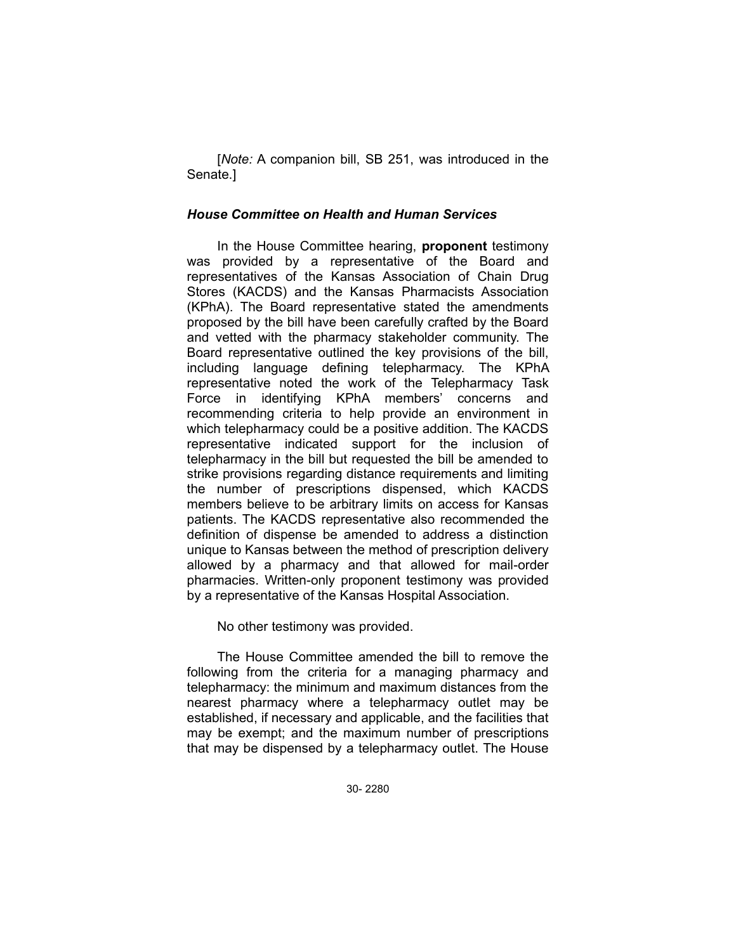[*Note:* A companion bill, SB 251, was introduced in the Senate.]

#### *House Committee on Health and Human Services*

In the House Committee hearing, **proponent** testimony was provided by a representative of the Board and representatives of the Kansas Association of Chain Drug Stores (KACDS) and the Kansas Pharmacists Association (KPhA). The Board representative stated the amendments proposed by the bill have been carefully crafted by the Board and vetted with the pharmacy stakeholder community. The Board representative outlined the key provisions of the bill, including language defining telepharmacy. The KPhA representative noted the work of the Telepharmacy Task Force in identifying KPhA members' concerns and recommending criteria to help provide an environment in which telepharmacy could be a positive addition. The KACDS representative indicated support for the inclusion of telepharmacy in the bill but requested the bill be amended to strike provisions regarding distance requirements and limiting the number of prescriptions dispensed, which KACDS members believe to be arbitrary limits on access for Kansas patients. The KACDS representative also recommended the definition of dispense be amended to address a distinction unique to Kansas between the method of prescription delivery allowed by a pharmacy and that allowed for mail-order pharmacies. Written-only proponent testimony was provided by a representative of the Kansas Hospital Association.

No other testimony was provided.

The House Committee amended the bill to remove the following from the criteria for a managing pharmacy and telepharmacy: the minimum and maximum distances from the nearest pharmacy where a telepharmacy outlet may be established, if necessary and applicable, and the facilities that may be exempt; and the maximum number of prescriptions that may be dispensed by a telepharmacy outlet. The House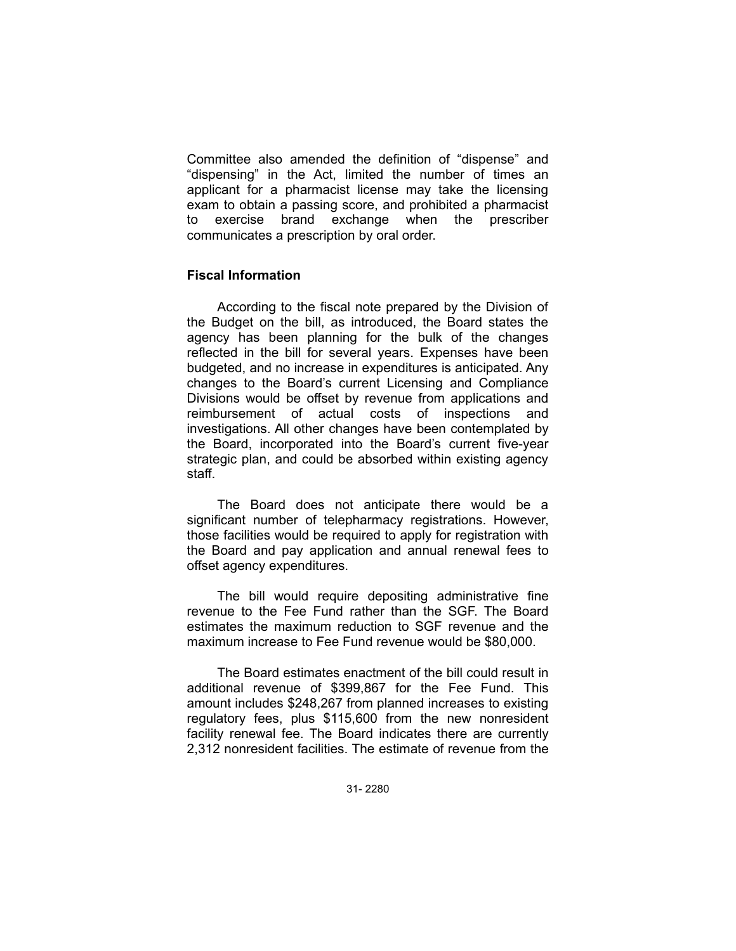Committee also amended the definition of "dispense" and "dispensing" in the Act, limited the number of times an applicant for a pharmacist license may take the licensing exam to obtain a passing score, and prohibited a pharmacist to exercise brand exchange when the prescriber communicates a prescription by oral order.

### **Fiscal Information**

According to the fiscal note prepared by the Division of the Budget on the bill, as introduced, the Board states the agency has been planning for the bulk of the changes reflected in the bill for several years. Expenses have been budgeted, and no increase in expenditures is anticipated. Any changes to the Board's current Licensing and Compliance Divisions would be offset by revenue from applications and reimbursement of actual costs of inspections and investigations. All other changes have been contemplated by the Board, incorporated into the Board's current five-year strategic plan, and could be absorbed within existing agency staff.

The Board does not anticipate there would be a significant number of telepharmacy registrations. However, those facilities would be required to apply for registration with the Board and pay application and annual renewal fees to offset agency expenditures.

The bill would require depositing administrative fine revenue to the Fee Fund rather than the SGF. The Board estimates the maximum reduction to SGF revenue and the maximum increase to Fee Fund revenue would be \$80,000.

The Board estimates enactment of the bill could result in additional revenue of \$399,867 for the Fee Fund. This amount includes \$248,267 from planned increases to existing regulatory fees, plus \$115,600 from the new nonresident facility renewal fee. The Board indicates there are currently 2,312 nonresident facilities. The estimate of revenue from the